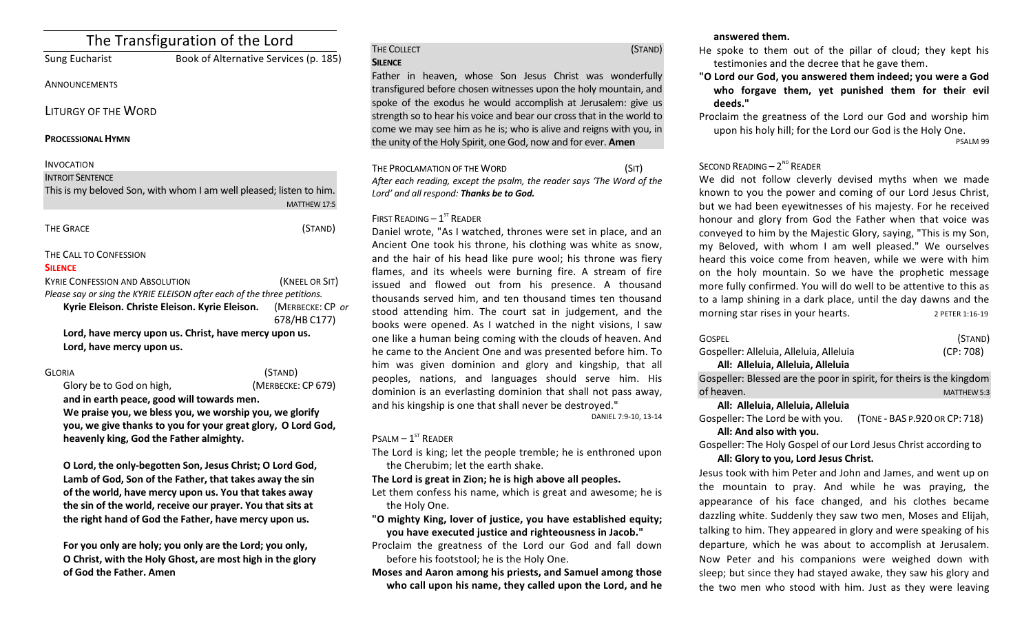# The Transfiguration of the Lord

Sung Eucharist Book of Alternative Services (p. 185)

# **ANNOUNCEMENTS**

LITURGY OF THE WORD

#### **PROCESSIONAL HYMN**

### INVOCATION

#### **INTROIT SENTENCE**

This is my beloved Son, with whom I am well pleased; listen to him. MATTHEW 17:5

| THE GRACE |  | (STAND) |
|-----------|--|---------|
|           |  |         |

### THE CALL TO CONFESSION

#### **SILENCE**

**KYRIE CONFESSION AND ABSOLUTION** *NET* **(KNEEL OR SIT)** *Please say or sing the KYRIE ELEISON after each of the three petitions.* **Kyrie Eleison. Christe Eleison. Kyrie Eleison.** (MERBECKE: CP *or* 678/HB C177)

Lord, have mercy upon us. Christ, have mercy upon us. Lord, have mercy upon us.

GLORIA (STAND) Glory be to God on high, *(MERBECKE: CP 679)* 

and in earth peace, good will towards men. We praise you, we bless you, we worship you, we glorify **you, we give thanks to you for your great glory, O Lord God,** heavenly king, God the Father almighty.

**O** Lord, the only-begotten Son, Jesus Christ; O Lord God, Lamb of God, Son of the Father, that takes away the sin of the world, have mercy upon us. You that takes away the sin of the world, receive our prayer. You that sits at the right hand of God the Father, have mercy upon us.

For you only are holy; you only are the Lord; you only, **O** Christ, with the Holy Ghost, are most high in the glory **of God the Father. Amen**

# **SILENCE**

THE COLLECT **THE COLLECT COLLECT COLLECT COLLECT COLLECT COLLECT COLLECT COLLECT COLLECT COLLECT** 

Father in heaven, whose Son Jesus Christ was wonderfully transfigured before chosen witnesses upon the holy mountain, and spoke of the exodus he would accomplish at Jerusalem: give us strength so to hear his voice and bear our cross that in the world to come we may see him as he is; who is alive and reigns with you, in the unity of the Holy Spirit, one God, now and for ever. Amen

THE PROCLAMATION OF THE WORD (SIT) After each reading, except the psalm, the reader says 'The Word of the Lord' and all respond: Thanks be to God.

# FIRST READING  $-1<sup>ST</sup>$  READER

Daniel wrote, "As I watched, thrones were set in place, and an Ancient One took his throne, his clothing was white as snow, and the hair of his head like pure wool; his throne was fiery flames, and its wheels were burning fire. A stream of fire issued and flowed out from his presence. A thousand thousands served him, and ten thousand times ten thousand stood attending him. The court sat in judgement, and the books were opened. As I watched in the night visions, I saw one like a human being coming with the clouds of heaven. And he came to the Ancient One and was presented before him. To him was given dominion and glory and kingship, that all peoples, nations, and languages should serve him. His dominion is an everlasting dominion that shall not pass away, and his kingship is one that shall never be destroyed." DANIEL 7:9-10, 13-14

# $P$ SALM –  $1<sup>ST</sup>$  READER

The Lord is king; let the people tremble; he is enthroned upon the Cherubim; let the earth shake.

The Lord is great in Zion; he is high above all peoples.

- Let them confess his name, which is great and awesome; he is the Holy One.
- "O mighty King, lover of justice, you have established equity; **you have executed iustice and righteousness in Jacob."**
- Proclaim the greatness of the Lord our God and fall down before his footstool; he is the Holy One.

**Moses and Aaron among his priests, and Samuel among those** who call upon his name, they called upon the Lord, and he

## **answered them.**

- He spoke to them out of the pillar of cloud; they kept his testimonies and the decree that he gave them.
- "O Lord our God, you answered them indeed; you were a God who forgave them, yet punished them for their evil **deeds."**

Proclaim the greatness of the Lord our God and worship him upon his holy hill; for the Lord our God is the Holy One. PSALM 99

# SECOND READING  $- 2<sup>ND</sup>$  READER

We did not follow cleverly devised myths when we made known to you the power and coming of our Lord Jesus Christ, but we had been eyewitnesses of his majesty. For he received honour and glory from God the Father when that voice was conveyed to him by the Majestic Glory, saying, "This is my Son, my Beloved, with whom I am well pleased." We ourselves heard this voice come from heaven, while we were with him on the holy mountain. So we have the prophetic message more fully confirmed. You will do well to be attentive to this as to a lamp shining in a dark place, until the day dawns and the morning star rises in your hearts. 2 PETER 1:16-19

|                                                                  | <b>GOSPEL</b>                                                        | (STAND)                       |  |  |
|------------------------------------------------------------------|----------------------------------------------------------------------|-------------------------------|--|--|
|                                                                  | Gospeller: Alleluia, Alleluia, Alleluia                              | (CP: 708)                     |  |  |
|                                                                  | All: Alleluia, Alleluia, Alleluia                                    |                               |  |  |
|                                                                  | Gospeller: Blessed are the poor in spirit, for theirs is the kingdom |                               |  |  |
|                                                                  | of heaven.                                                           | MATTHEW 5:3                   |  |  |
| All: Alleluia, Alleluia, Alleluia                                |                                                                      |                               |  |  |
|                                                                  | Gospeller: The Lord be with you.                                     | (TONE - BAS P.920 OR CP: 718) |  |  |
|                                                                  | All: And also with you.                                              |                               |  |  |
| Gospeller: The Holy Gospel of our Lord Jesus Christ according to |                                                                      |                               |  |  |
| All: Glory to you, Lord Jesus Christ.                            |                                                                      |                               |  |  |
|                                                                  | Jesus took with him Peter and John and James, and went up on         |                               |  |  |
|                                                                  | the mountain to pray. And while he was praying, the                  |                               |  |  |
|                                                                  | appearance of his face changed, and his clothes became               |                               |  |  |
|                                                                  | dazzling white. Suddenly they saw two men. Moses and Flijah.         |                               |  |  |

dazzling white. Suddenly they saw two men, Moses and Elijah, talking to him. They appeared in glory and were speaking of his departure, which he was about to accomplish at Jerusalem. Now Peter and his companions were weighed down with sleep; but since they had stayed awake, they saw his glory and the two men who stood with him. Just as they were leaving